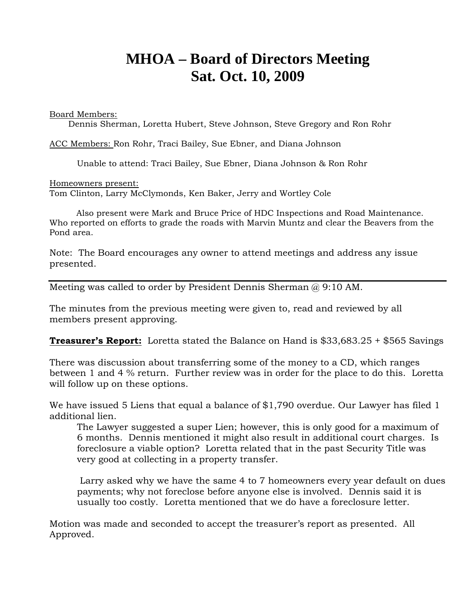# **MHOA – Board of Directors Meeting Sat. Oct. 10, 2009**

Board Members:

Dennis Sherman, Loretta Hubert, Steve Johnson, Steve Gregory and Ron Rohr

ACC Members: Ron Rohr, Traci Bailey, Sue Ebner, and Diana Johnson

Unable to attend: Traci Bailey, Sue Ebner, Diana Johnson & Ron Rohr

Homeowners present:

Tom Clinton, Larry McClymonds, Ken Baker, Jerry and Wortley Cole

 Also present were Mark and Bruce Price of HDC Inspections and Road Maintenance. Who reported on efforts to grade the roads with Marvin Muntz and clear the Beavers from the Pond area.

Note: The Board encourages any owner to attend meetings and address any issue presented.

Meeting was called to order by President Dennis Sherman  $\omega$  9:10 AM.

The minutes from the previous meeting were given to, read and reviewed by all members present approving.

**Treasurer's Report:** Loretta stated the Balance on Hand is \$33,683.25 + \$565 Savings

There was discussion about transferring some of the money to a CD, which ranges between 1 and 4 % return. Further review was in order for the place to do this. Loretta will follow up on these options.

We have issued 5 Liens that equal a balance of \$1,790 overdue. Our Lawyer has filed 1 additional lien.

The Lawyer suggested a super Lien; however, this is only good for a maximum of 6 months. Dennis mentioned it might also result in additional court charges. Is foreclosure a viable option? Loretta related that in the past Security Title was very good at collecting in a property transfer.

 Larry asked why we have the same 4 to 7 homeowners every year default on dues payments; why not foreclose before anyone else is involved. Dennis said it is usually too costly. Loretta mentioned that we do have a foreclosure letter.

Motion was made and seconded to accept the treasurer's report as presented. All Approved.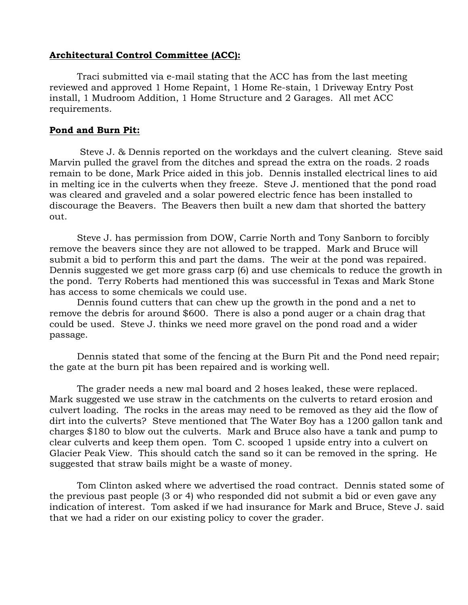## **Architectural Control Committee (ACC):**

Traci submitted via e-mail stating that the ACC has from the last meeting reviewed and approved 1 Home Repaint, 1 Home Re-stain, 1 Driveway Entry Post install, 1 Mudroom Addition, 1 Home Structure and 2 Garages. All met ACC requirements.

#### **Pond and Burn Pit:**

 Steve J. & Dennis reported on the workdays and the culvert cleaning. Steve said Marvin pulled the gravel from the ditches and spread the extra on the roads. 2 roads remain to be done, Mark Price aided in this job. Dennis installed electrical lines to aid in melting ice in the culverts when they freeze. Steve J. mentioned that the pond road was cleared and graveled and a solar powered electric fence has been installed to discourage the Beavers. The Beavers then built a new dam that shorted the battery out.

Steve J. has permission from DOW, Carrie North and Tony Sanborn to forcibly remove the beavers since they are not allowed to be trapped. Mark and Bruce will submit a bid to perform this and part the dams. The weir at the pond was repaired. Dennis suggested we get more grass carp (6) and use chemicals to reduce the growth in the pond. Terry Roberts had mentioned this was successful in Texas and Mark Stone has access to some chemicals we could use.

Dennis found cutters that can chew up the growth in the pond and a net to remove the debris for around \$600. There is also a pond auger or a chain drag that could be used. Steve J. thinks we need more gravel on the pond road and a wider passage.

Dennis stated that some of the fencing at the Burn Pit and the Pond need repair; the gate at the burn pit has been repaired and is working well.

The grader needs a new mal board and 2 hoses leaked, these were replaced. Mark suggested we use straw in the catchments on the culverts to retard erosion and culvert loading. The rocks in the areas may need to be removed as they aid the flow of dirt into the culverts? Steve mentioned that The Water Boy has a 1200 gallon tank and charges \$180 to blow out the culverts. Mark and Bruce also have a tank and pump to clear culverts and keep them open. Tom C. scooped 1 upside entry into a culvert on Glacier Peak View. This should catch the sand so it can be removed in the spring. He suggested that straw bails might be a waste of money.

Tom Clinton asked where we advertised the road contract. Dennis stated some of the previous past people (3 or 4) who responded did not submit a bid or even gave any indication of interest. Tom asked if we had insurance for Mark and Bruce, Steve J. said that we had a rider on our existing policy to cover the grader.